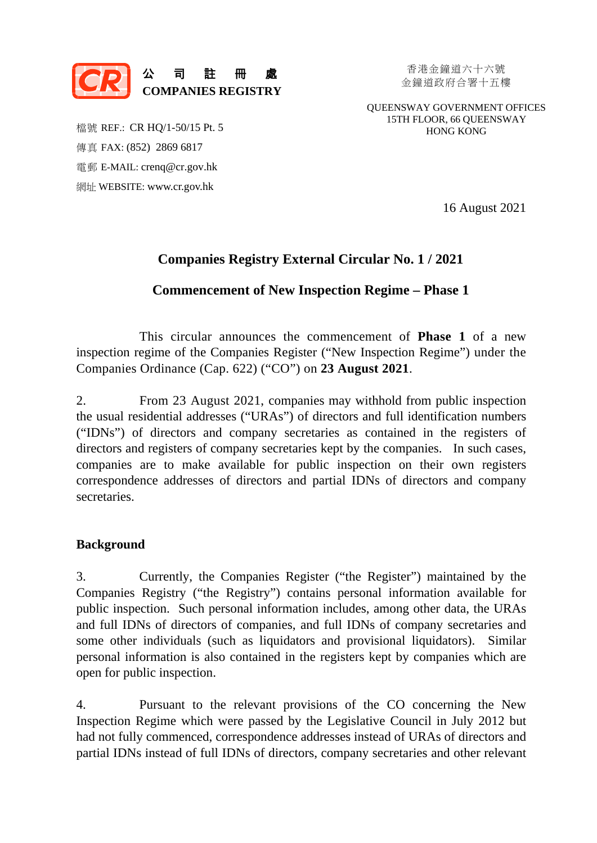

金鐘道政府合署十五樓

QUEENSWAY GOVERNMENT OFFICES 15TH FLOOR, 66 QUEENSWAY HONG KONG

檔號 REF.: CR HQ/1-50/15 Pt. 5 傳真 FAX: (852) 2869 6817 電郵 E-MAIL: [crenq@cr.gov.hk](mailto:crenq@cr.gov.hk) 網址 WEBSITE: [www.cr.gov.hk](https://www.cr.gov.hk/en/home/index.htm) 

16 August 2021

# **Companies Registry External Circular No. 1 / 2021**

### **Commencement of New Inspection Regime – Phase 1**

This circular announces the commencement of **Phase 1** of a new inspection regime of the Companies Register ("New Inspection Regime") under the Companies Ordinance (Cap. 622) ("CO") on **23 August 2021**.

 2. From 23 August 2021, companies may withhold from public inspection the usual residential addresses ("URAs") of directors and full identification numbers ("IDNs") of directors and company secretaries as contained in the registers of directors and registers of company secretaries kept by the companies. In such cases, companies are to make available for public inspection on their own registers correspondence addresses of directors and partial IDNs of directors and company secretaries.

### **Background**

3. Currently, the Companies Register ("the Register") maintained by the Companies Registry ("the Registry") contains personal information available for public inspection. Such personal information includes, among other data, the URAs and full IDNs of directors of companies, and full IDNs of company secretaries and some other individuals (such as liquidators and provisional liquidators). Similar personal information is also contained in the registers kept by companies which are open for public inspection.

4. Pursuant to the relevant provisions of the CO concerning the New Inspection Regime which were passed by the Legislative Council in July 2012 but had not fully commenced, correspondence addresses instead of URAs of directors and partial IDNs instead of full IDNs of directors, company secretaries and other relevant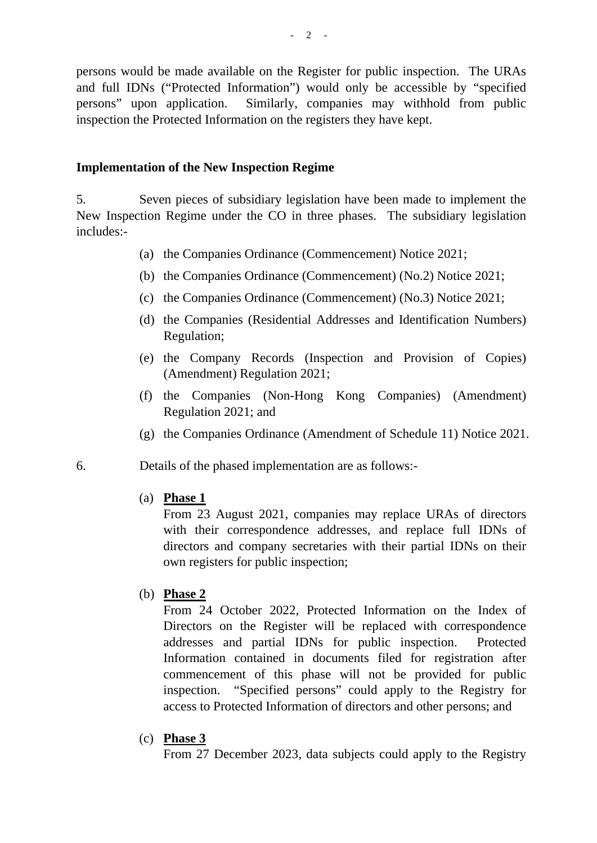persons would be made available on the Register for public inspection. The URAs and full IDNs ("Protected Information") would only be accessible by "specified persons" upon application. Similarly, companies may withhold from public inspection the Protected Information on the registers they have kept.

#### **Implementation of the New Inspection Regime**

5. Seven pieces of subsidiary legislation have been made to implement the New Inspection Regime under the CO in three phases. The subsidiary legislation includes:-

- (a) the Companies Ordinance (Commencement) Notice 2021;
- (b) the Companies Ordinance (Commencement) (No.2) Notice 2021;
- (c) the Companies Ordinance (Commencement) (No.3) Notice 2021;
- (d) the Companies (Residential Addresses and Identification Numbers) Regulation;
- (e) the Company Records (Inspection and Provision of Copies) (Amendment) Regulation 2021;
- (f) the Companies (Non-Hong Kong Companies) (Amendment) Regulation 2021; and
- (g) the Companies Ordinance (Amendment of Schedule 11) Notice 2021.
- 6. Details of the phased implementation are as follows:-
	- (a) **Phase 1**

From 23 August 2021, companies may replace URAs of directors with their correspondence addresses, and replace full IDNs of directors and company secretaries with their partial IDNs on their own registers for public inspection;

(b) **Phase 2** 

From 24 October 2022, Protected Information on the Index of Directors on the Register will be replaced with correspondence addresses and partial IDNs for public inspection. Protected Information contained in documents filed for registration after commencement of this phase will not be provided for public inspection. "Specified persons" could apply to the Registry for access to Protected Information of directors and other persons; and

(c) **Phase 3** 

From 27 December 2023, data subjects could apply to the Registry

 $- 2 - 1$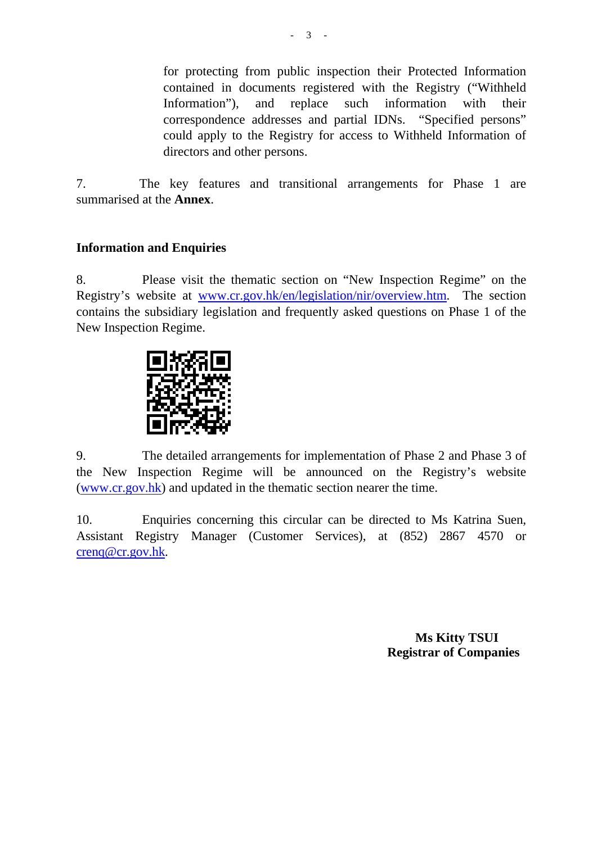for protecting from public inspection their Protected Information contained in documents registered with the Registry ("Withheld Information"), and replace such information with their correspondence addresses and partial IDNs. "Specified persons" could apply to the Registry for access to Withheld Information of directors and other persons.

7. The key features and transitional arrangements for Phase 1 are summarised at the **Annex**.

## **Information and Enquiries**

8. Please visit the thematic section on "New Inspection Regime" on the Registry's website at www.cr.gov.hk/en/legislation/nir/overview.htm. The section contains the subsidiary legislation and frequently asked questions on Phase 1 of the New Inspection Regime.



9. The detailed arrangements for implementation of Phase 2 and Phase 3 of the New Inspection Regime will be announced on the Registry's website (www.cr.gov.hk) and updated in the thematic section nearer the time.

10. Enquiries concerning this circular can be directed to Ms Katrina Suen, Assistant Registry Manager (Customer Services), at (852) 2867 4570 or [crenq@cr.gov.hk.](mailto:crenq@cr.gov.hk)

> **Ms Kitty TSUI Registrar of Companies**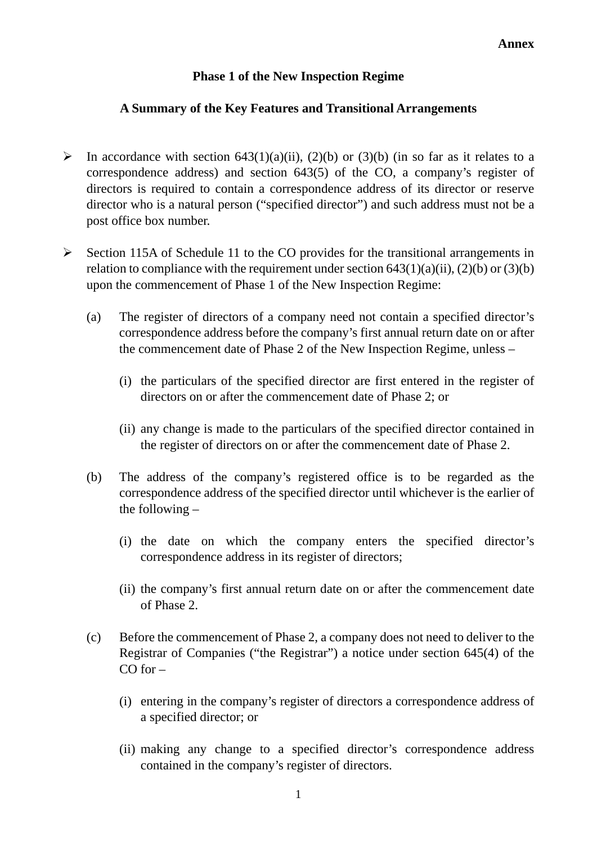# **Phase 1 of the New Inspection Regime**

### **A Summary of the Key Features and Transitional Arrangements**

- In accordance with section 643(1)(a)(ii), (2)(b) or (3)(b) (in so far as it relates to a correspondence address) and section 643(5) of the CO, a company's register of directors is required to contain a correspondence address of its director or reserve director who is a natural person ("specified director") and such address must not be a post office box number.
- $\triangleright$  Section 115A of Schedule 11 to the CO provides for the transitional arrangements in relation to compliance with the requirement under section  $643(1)(a)(ii)$ ,  $(2)(b)$  or  $(3)(b)$ upon the commencement of Phase 1 of the New Inspection Regime:
	- (a) The register of directors of a company need not contain a specified director's correspondence address before the company's first annual return date on or after the commencement date of Phase 2 of the New Inspection Regime, unless –
		- (i) the particulars of the specified director are first entered in the register of directors on or after the commencement date of Phase 2; or
		- (ii) any change is made to the particulars of the specified director contained in the register of directors on or after the commencement date of Phase 2.
	- (b) The address of the company's registered office is to be regarded as the correspondence address of the specified director until whichever is the earlier of the following –
		- (i) the date on which the company enters the specified director's correspondence address in its register of directors;
		- (ii) the company's first annual return date on or after the commencement date of Phase 2.
	- (c) Before the commencement of Phase 2, a company does not need to deliver to the Registrar of Companies ("the Registrar") a notice under section 645(4) of the  $CO for -$ 
		- (i) entering in the company's register of directors a correspondence address of a specified director; or
		- (ii) making any change to a specified director's correspondence address contained in the company's register of directors.